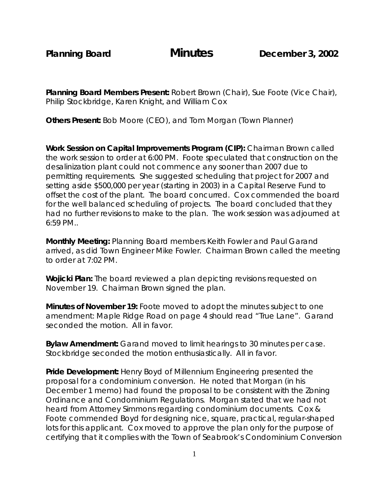**Planning Board Members Present:** Robert Brown (Chair), Sue Foote (Vice Chair), Philip Stockbridge, Karen Knight, and William Cox

**Others Present:** Bob Moore (CEO), and Tom Morgan (Town Planner)

**Work Session on Capital Improvements Program (CIP):** Chairman Brown called the work session to order at 6:00 PM. Foote speculated that construction on the desalinization plant could not commence any sooner than 2007 due to permitting requirements. She suggested scheduling that project for 2007 and setting aside \$500,000 per year (starting in 2003) in a Capital Reserve Fund to offset the cost of the plant. The board concurred. Cox commended the board for the well balanced scheduling of projects. The board concluded that they had no further revisions to make to the plan. The work session was adjourned at 6:59 PM..

**Monthly Meeting:** Planning Board members Keith Fowler and Paul Garand arrived, as did Town Engineer Mike Fowler. Chairman Brown called the meeting to order at 7:02 PM.

**Wojicki Plan:** The board reviewed a plan depicting revisions requested on November 19. Chairman Brown signed the plan.

**Minutes of November 19:** Foote moved to adopt the minutes subject to one amendment: Maple Ridge Road on page 4 should read "True Lane". Garand seconded the motion. All in favor.

**Bylaw Amendment:** Garand moved to limit hearings to 30 minutes per case. Stockbridge seconded the motion enthusiastically. All in favor.

**Pride Development:** Henry Boyd of Millennium Engineering presented the proposal for a condominium conversion. He noted that Morgan (in his December 1 memo) had found the proposal to be consistent with the Zoning Ordinance and Condominium Regulations. Morgan stated that we had not heard from Attorney Simmons regarding condominium documents. Cox & Foote commended Boyd for designing nice, square, practical, regular-shaped lots for this applicant. Cox moved to approve the plan only for the purpose of certifying that it complies with the Town of Seabrook's Condominium Conversion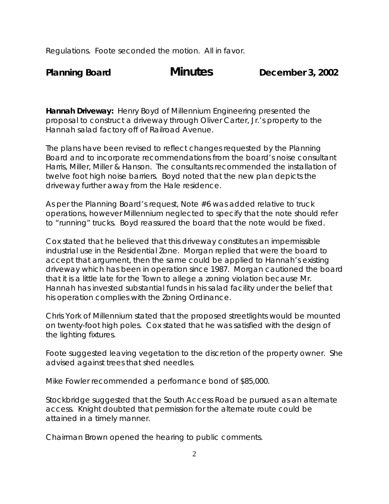Regulations. Foote seconded the motion. All in favor.

**Hannah Driveway:** Henry Boyd of Millennium Engineering presented the proposal to construct a driveway through Oliver Carter, Jr.'s property to the Hannah salad factory off of Railroad Avenue.

The plans have been revised to reflect changes requested by the Planning Board and to incorporate recommendations from the board's noise consultant Harris, Miller, Miller & Hanson. The consultants recommended the installation of twelve foot high noise barriers. Boyd noted that the new plan depicts the driveway further away from the Hale residence.

As per the Planning Board's request, Note #6 was added relative to truck operations, however Millennium neglected to specify that the note should refer to "running" trucks. Boyd reassured the board that the note would be fixed.

Cox stated that he believed that this driveway constitutes an impermissible industrial use in the Residential Zone. Morgan replied that were the board to accept that argument, then the same could be applied to Hannah's existing driveway which has been in operation since 1987. Morgan cautioned the board that it is a little late for the Town to allege a zoning violation because Mr. Hannah has invested substantial funds in his salad facility under the belief that his operation complies with the Zoning Ordinance.

Chris York of Millennium stated that the proposed streetlights would be mounted on twenty-foot high poles. Cox stated that he was satisfied with the design of the lighting fixtures.

Foote suggested leaving vegetation to the discretion of the property owner. She advised against trees that shed needles.

Mike Fowler recommended a performance bond of \$85,000.

Stockbridge suggested that the South Access Road be pursued as an alternate access. Knight doubted that permission for the alternate route could be attained in a timely manner.

Chairman Brown opened the hearing to public comments.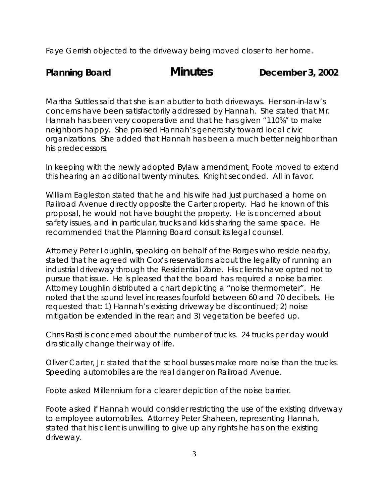Faye Gerrish objected to the driveway being moved closer to her home.

Planning Board **Minutes** December 3, 2002

Martha Suttles said that she is an abutter to both driveways. Her son-in-law's concerns have been satisfactorily addressed by Hannah. She stated that Mr. Hannah has been very cooperative and that he has given "110%" to make neighbors happy. She praised Hannah's generosity toward local civic organizations. She added that Hannah has been a much better neighbor than his predecessors.

In keeping with the newly adopted Bylaw amendment, Foote moved to extend this hearing an additional twenty minutes. Knight seconded. All in favor.

William Eagleston stated that he and his wife had just purchased a home on Railroad Avenue directly opposite the Carter property. Had he known of this proposal, he would not have bought the property. He is concerned about safety issues, and in particular, trucks and kids sharing the same space. He recommended that the Planning Board consult its legal counsel.

Attorney Peter Loughlin, speaking on behalf of the Borges who reside nearby, stated that he agreed with Cox's reservations about the legality of running an industrial driveway through the Residential Zone. His clients have opted not to pursue that issue. He is pleased that the board has required a noise barrier. Attorney Loughlin distributed a chart depicting a "noise thermometer". He noted that the sound level increases fourfold between 60 and 70 decibels. He requested that: 1) Hannah's existing driveway be discontinued; 2) noise mitigation be extended in the rear; and 3) vegetation be beefed up.

Chris Basti is concerned about the number of trucks. 24 trucks per day would drastically change their way of life.

Oliver Carter, Jr. stated that the school busses make more noise than the trucks. Speeding automobiles are the real danger on Railroad Avenue.

Foote asked Millennium for a clearer depiction of the noise barrier.

Foote asked if Hannah would consider restricting the use of the existing driveway to employee automobiles. Attorney Peter Shaheen, representing Hannah, stated that his client is unwilling to give up any rights he has on the existing driveway.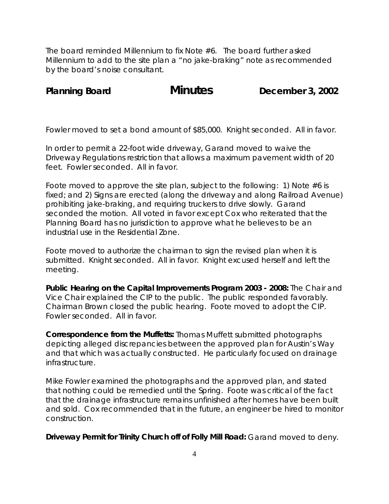The board reminded Millennium to fix Note #6. The board further asked Millennium to add to the site plan a "no jake-braking" note as recommended by the board's noise consultant.

Planning Board **Minutes** December 3, 2002

Fowler moved to set a bond amount of \$85,000. Knight seconded. All in favor.

In order to permit a 22-foot wide driveway, Garand moved to waive the Driveway Regulations restriction that allows a maximum pavement width of 20 feet. Fowler seconded. All in favor.

Foote moved to approve the site plan, subject to the following: 1) Note #6 is fixed; and 2) Signs are erected (along the driveway and along Railroad Avenue) prohibiting jake-braking, and requiring truckers to drive slowly. Garand seconded the motion. All voted in favor except Cox who reiterated that the Planning Board has no jurisdiction to approve what he believes to be an industrial use in the Residential Zone.

Foote moved to authorize the chairman to sign the revised plan when it is submitted. Knight seconded. All in favor. Knight excused herself and left the meeting.

**Public Hearing on the Capital Improvements Program 2003 - 2008:** The Chair and Vice Chair explained the CIP to the public. The public responded favorably. Chairman Brown closed the public hearing. Foote moved to adopt the CIP. Fowler seconded. All in favor.

**Correspondence from the Muffetts:** Thomas Muffett submitted photographs depicting alleged discrepancies between the approved plan for Austin's Way and that which was actually constructed. He particularly focused on drainage infrastructure.

Mike Fowler examined the photographs and the approved plan, and stated that nothing could be remedied until the Spring. Foote was critical of the fact that the drainage infrastructure remains unfinished after homes have been built and sold. Cox recommended that in the future, an engineer be hired to monitor construction.

**Driveway Permit for Trinity Church off of Folly Mill Road:** Garand moved to deny.